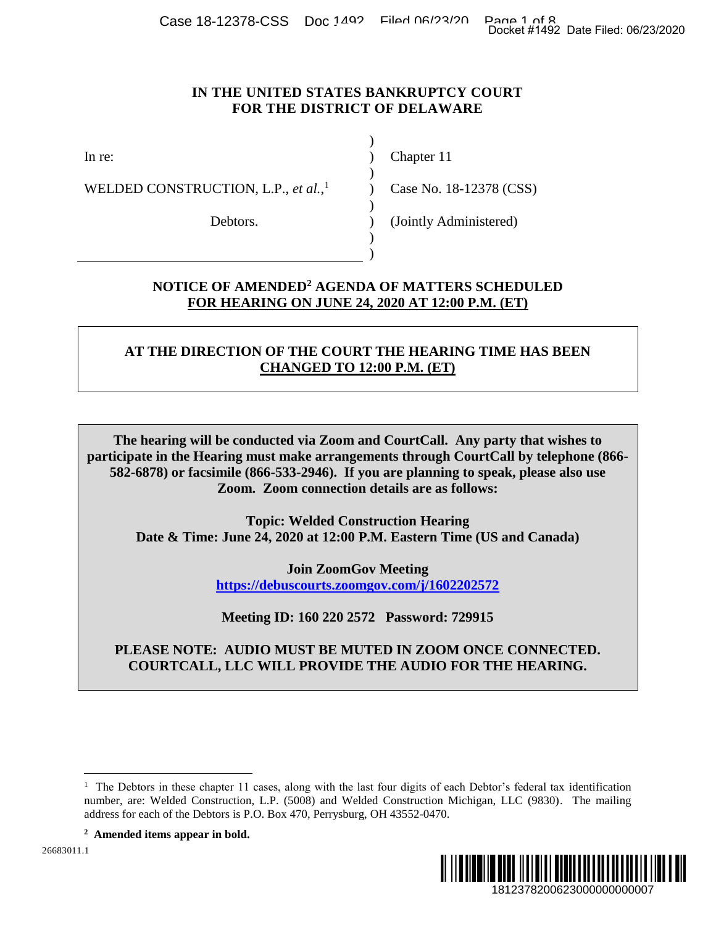Case 18-12378-CSS Doc 1492 Filed 06/23/20 Page 1 of 8<br>Docket #1492 Date Filed: 06/23/2020

#### **IN THE UNITED STATES BANKRUPTCY COURT FOR THE DISTRICT OF DELAWARE**

)

 $\lambda$ 

)

)

)

WELDED CONSTRUCTION, L.P., *et al.*, 1

Debtors.

In re: (a) Chapter 11

) Case No. 18-12378 (CSS)

(Jointly Administered)

## **NOTICE OF AMENDED<sup>2</sup> AGENDA OF MATTERS SCHEDULED FOR HEARING ON JUNE 24, 2020 AT 12:00 P.M. (ET)**

# **AT THE DIRECTION OF THE COURT THE HEARING TIME HAS BEEN CHANGED TO 12:00 P.M. (ET)**

**The hearing will be conducted via Zoom and CourtCall. Any party that wishes to participate in the Hearing must make arrangements through CourtCall by telephone (866- 582-6878) or facsimile (866-533-2946). If you are planning to speak, please also use Zoom. Zoom connection details are as follows:** Docket #1492 Date Filed: 06/23/2020<br>
1812<br>
1812<br>
1812<br>
1812<br>
1812<br>
1812<br>
1812<br>
1812<br>
1812<br>
1812<br>
1812<br>
1812<br>
1812<br>
1812<br>
1812<br>
1812<br>
1812<br>
1812<br>
1812<br>
1810<br>
1910<br>
1920<br>
1920<br>
1920<br>
1930<br>
1930<br>
1940<br>
1940<br>
1940<br>
1940<br>
1940<br>

**Topic: Welded Construction Hearing Date & Time: June 24, 2020 at 12:00 P.M. Eastern Time (US and Canada)**

> **Join ZoomGov Meeting [https://debuscourts.zoomgov.com/j/1602202572](https://protect-us.mimecast.com/s/O_cqCmZEmRcpE9kDhGEmE_?domain=debuscourts.zoomgov.com)**

**Meeting ID: 160 220 2572 Password: 729915**

**PLEASE NOTE: AUDIO MUST BE MUTED IN ZOOM ONCE CONNECTED. COURTCALL, LLC WILL PROVIDE THE AUDIO FOR THE HEARING.** 

 $\overline{a}$ <sup>1</sup> The Debtors in these chapter 11 cases, along with the last four digits of each Debtor's federal tax identification number, are: Welded Construction, L.P. (5008) and Welded Construction Michigan, LLC (9830). The mailing address for each of the Debtors is P.O. Box 470, Perrysburg, OH 43552-0470.

**<sup>2</sup> Amended items appear in bold.**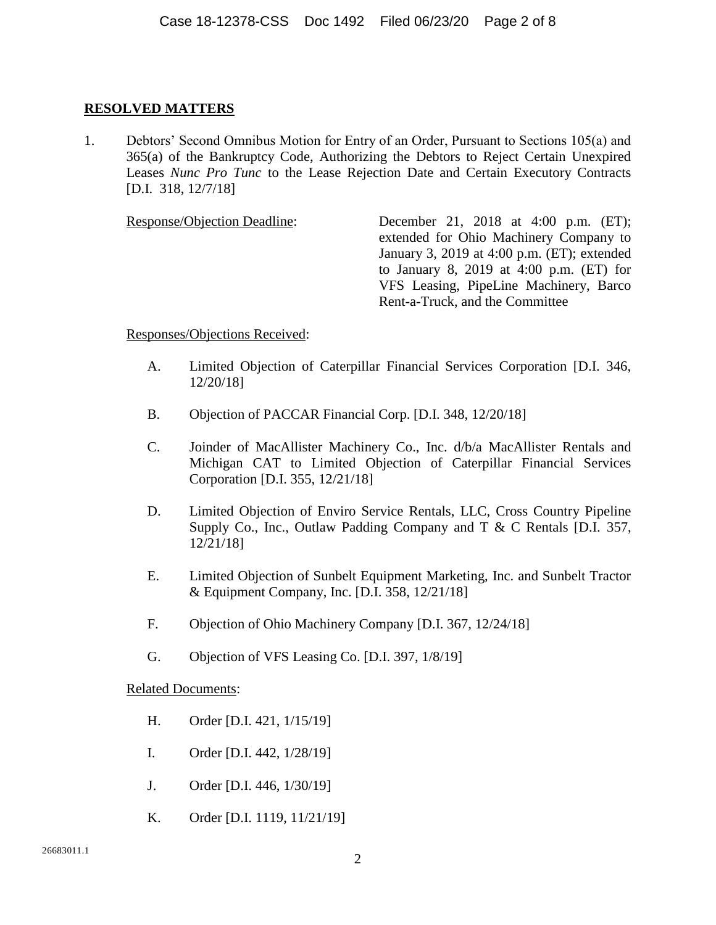### **RESOLVED MATTERS**

1. Debtors' Second Omnibus Motion for Entry of an Order, Pursuant to Sections 105(a) and 365(a) of the Bankruptcy Code, Authorizing the Debtors to Reject Certain Unexpired Leases *Nunc Pro Tunc* to the Lease Rejection Date and Certain Executory Contracts [D.I. 318, 12/7/18]

Response/Objection Deadline: December 21, 2018 at 4:00 p.m. (ET); extended for Ohio Machinery Company to January 3, 2019 at 4:00 p.m. (ET); extended to January 8, 2019 at 4:00 p.m. (ET) for VFS Leasing, PipeLine Machinery, Barco Rent-a-Truck, and the Committee

Responses/Objections Received:

- A. Limited Objection of Caterpillar Financial Services Corporation [D.I. 346, 12/20/18]
- B. Objection of PACCAR Financial Corp. [D.I. 348, 12/20/18]
- C. Joinder of MacAllister Machinery Co., Inc. d/b/a MacAllister Rentals and Michigan CAT to Limited Objection of Caterpillar Financial Services Corporation [D.I. 355, 12/21/18]
- D. Limited Objection of Enviro Service Rentals, LLC, Cross Country Pipeline Supply Co., Inc., Outlaw Padding Company and T & C Rentals [D.I. 357, 12/21/18]
- E. Limited Objection of Sunbelt Equipment Marketing, Inc. and Sunbelt Tractor & Equipment Company, Inc. [D.I. 358, 12/21/18]
- F. Objection of Ohio Machinery Company [D.I. 367, 12/24/18]
- G. Objection of VFS Leasing Co. [D.I. 397, 1/8/19]

- H. Order [D.I. 421, 1/15/19]
- I. Order [D.I. 442, 1/28/19]
- J. Order [D.I. 446, 1/30/19]
- K. Order [D.I. 1119, 11/21/19]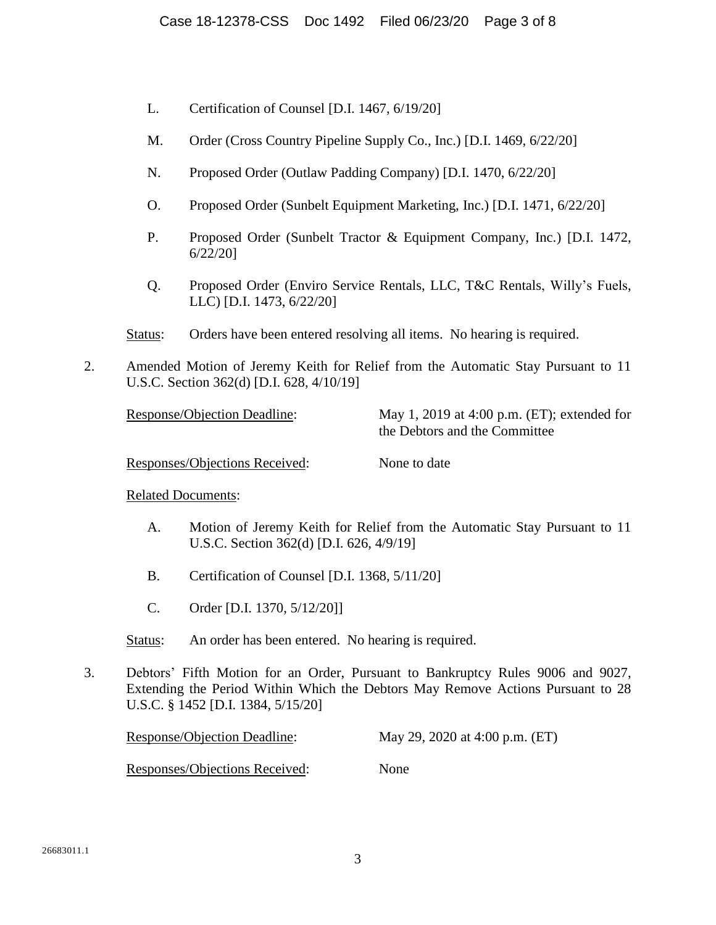- L. Certification of Counsel [D.I. 1467, 6/19/20]
- M. Order (Cross Country Pipeline Supply Co., Inc.) [D.I. 1469, 6/22/20]
- N. Proposed Order (Outlaw Padding Company) [D.I. 1470, 6/22/20]
- O. Proposed Order (Sunbelt Equipment Marketing, Inc.) [D.I. 1471, 6/22/20]
- P. Proposed Order (Sunbelt Tractor & Equipment Company, Inc.) [D.I. 1472, 6/22/20]
- Q. Proposed Order (Enviro Service Rentals, LLC, T&C Rentals, Willy's Fuels, LLC) [D.I. 1473, 6/22/20]
- Status: Orders have been entered resolving all items. No hearing is required.
- 2. Amended Motion of Jeremy Keith for Relief from the Automatic Stay Pursuant to 11 U.S.C. Section 362(d) [D.I. 628, 4/10/19]

Response/Objection Deadline: May 1, 2019 at 4:00 p.m. (ET); extended for the Debtors and the Committee

Responses/Objections Received: None to date

- A. Motion of Jeremy Keith for Relief from the Automatic Stay Pursuant to 11 U.S.C. Section 362(d) [D.I. 626, 4/9/19]
- B. Certification of Counsel [D.I. 1368, 5/11/20]
- C. Order [D.I. 1370, 5/12/20]]
- Status: An order has been entered. No hearing is required.
- 3. Debtors' Fifth Motion for an Order, Pursuant to Bankruptcy Rules 9006 and 9027, Extending the Period Within Which the Debtors May Remove Actions Pursuant to 28 U.S.C. § 1452 [D.I. 1384, 5/15/20]

| <b>Response/Objection Deadline:</b>   | May 29, 2020 at 4:00 p.m. (ET) |  |
|---------------------------------------|--------------------------------|--|
| <b>Responses/Objections Received:</b> | None                           |  |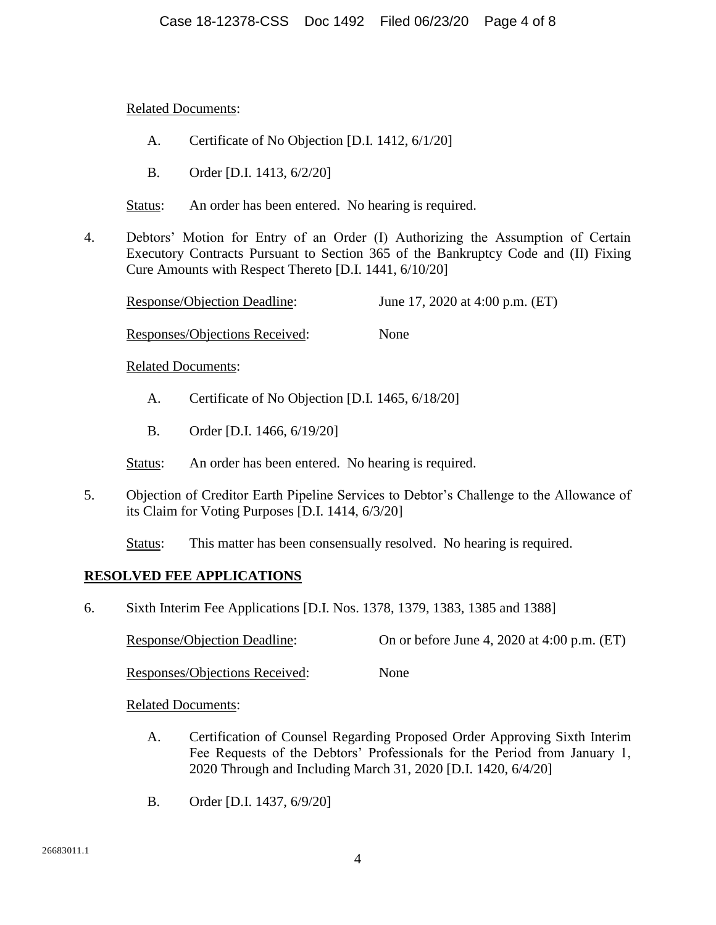Related Documents:

- A. Certificate of No Objection [D.I. 1412, 6/1/20]
- B. Order [D.I. 1413, 6/2/20]
- Status: An order has been entered. No hearing is required.
- 4. Debtors' Motion for Entry of an Order (I) Authorizing the Assumption of Certain Executory Contracts Pursuant to Section 365 of the Bankruptcy Code and (II) Fixing Cure Amounts with Respect Thereto [D.I. 1441, 6/10/20]

| Response/Objection Deadline:   | June 17, 2020 at 4:00 p.m. $(ET)$ |
|--------------------------------|-----------------------------------|
| Responses/Objections Received: | None                              |

Related Documents:

- A. Certificate of No Objection [D.I. 1465, 6/18/20]
- B. Order [D.I. 1466, 6/19/20]

Status: An order has been entered. No hearing is required.

5. Objection of Creditor Earth Pipeline Services to Debtor's Challenge to the Allowance of its Claim for Voting Purposes [D.I. 1414, 6/3/20]

Status: This matter has been consensually resolved. No hearing is required.

## **RESOLVED FEE APPLICATIONS**

6. Sixth Interim Fee Applications [D.I. Nos. 1378, 1379, 1383, 1385 and 1388]

Response/Objection Deadline: On or before June 4, 2020 at 4:00 p.m. (ET)

Responses/Objections Received: None

- A. Certification of Counsel Regarding Proposed Order Approving Sixth Interim Fee Requests of the Debtors' Professionals for the Period from January 1, 2020 Through and Including March 31, 2020 [D.I. 1420, 6/4/20]
- B. Order [D.I. 1437, 6/9/20]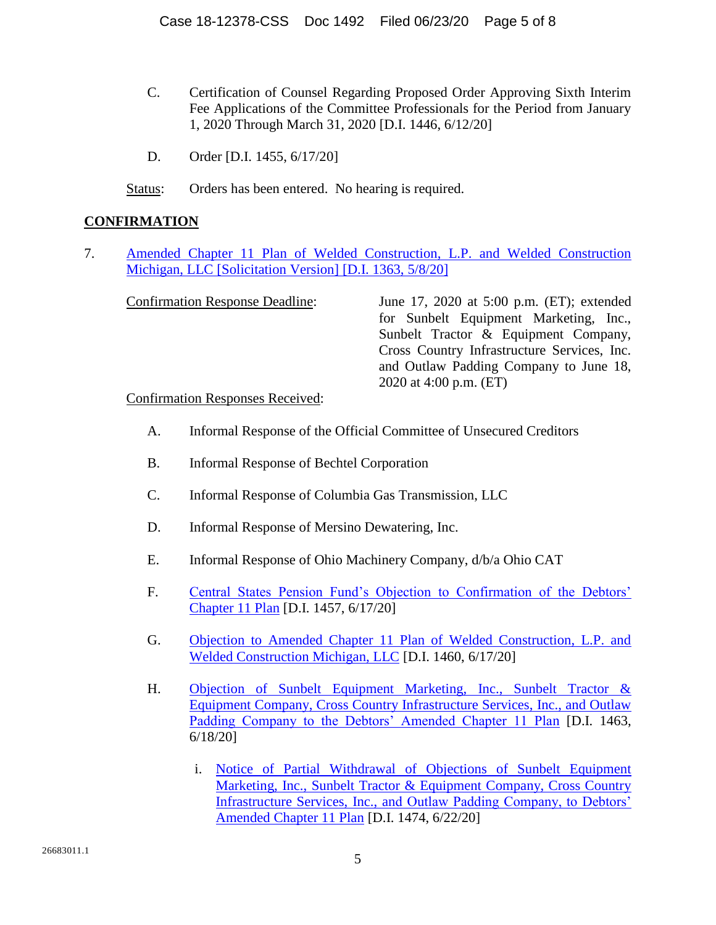- C. Certification of Counsel Regarding Proposed Order Approving Sixth Interim Fee Applications of the Committee Professionals for the Period from January 1, 2020 Through March 31, 2020 [D.I. 1446, 6/12/20]
- D. Order [D.I. 1455, 6/17/20]
- Status: Orders has been entered. No hearing is required.

## **CONFIRMATION**

7. [Amended Chapter 11 Plan of Welded Construction, L.P. and Welded Construction](https://ecf.deb.uscourts.gov/doc1/042019009801)  Michigan, LLC [\[Solicitation Version\] \[D.I. 1363, 5/8/20\]](https://ecf.deb.uscourts.gov/doc1/042019009801)

| June 17, 2020 at 5:00 p.m. (ET); extended   |
|---------------------------------------------|
| for Sunbelt Equipment Marketing, Inc.,      |
| Sunbelt Tractor & Equipment Company,        |
| Cross Country Infrastructure Services, Inc. |
| and Outlaw Padding Company to June 18,      |
| 2020 at 4:00 p.m. $(ET)$                    |
|                                             |

#### Confirmation Responses Received:

- A. Informal Response of the Official Committee of Unsecured Creditors
- B. Informal Response of Bechtel Corporation
- C. Informal Response of Columbia Gas Transmission, LLC
- D. Informal Response of Mersino Dewatering, Inc.
- E. Informal Response of Ohio Machinery Company, d/b/a Ohio CAT
- F. [Central States Pension Fund's Objection to Confirmation of the Debtors'](https://ecf.deb.uscourts.gov/doc1/042019119430)  [Chapter 11 Plan](https://ecf.deb.uscourts.gov/doc1/042019119430) [D.I. 1457, 6/17/20]
- G. [Objection to Amended Chapter 11 Plan of Welded Construction, L.P. and](https://ecf.deb.uscourts.gov/doc1/042019119846)  [Welded Construction Michigan, LLC](https://ecf.deb.uscourts.gov/doc1/042019119846) [D.I. 1460, 6/17/20]
- H. [Objection of Sunbelt Equipment Marketing, Inc., Sunbelt Tractor &](https://ecf.deb.uscourts.gov/doc1/042019123008)  [Equipment Company, Cross Country Infrastructure Services, Inc., and Outlaw](https://ecf.deb.uscourts.gov/doc1/042019123008)  [Padding Company to the Debtors' Amended Chapter 11 Plan](https://ecf.deb.uscourts.gov/doc1/042019123008) [D.I. 1463, 6/18/20]
	- i. [Notice of Partial Withdrawal of Objections of Sunbelt Equipment](https://ecf.deb.uscourts.gov/doc1/042019129478)  [Marketing, Inc., Sunbelt Tractor & Equipment Company, Cross Country](https://ecf.deb.uscourts.gov/doc1/042019129478)  [Infrastructure Services, Inc., and Outlaw Padding Company, to Debtors'](https://ecf.deb.uscourts.gov/doc1/042019129478)  [Amended Chapter 11 Plan](https://ecf.deb.uscourts.gov/doc1/042019129478) [D.I. 1474, 6/22/20]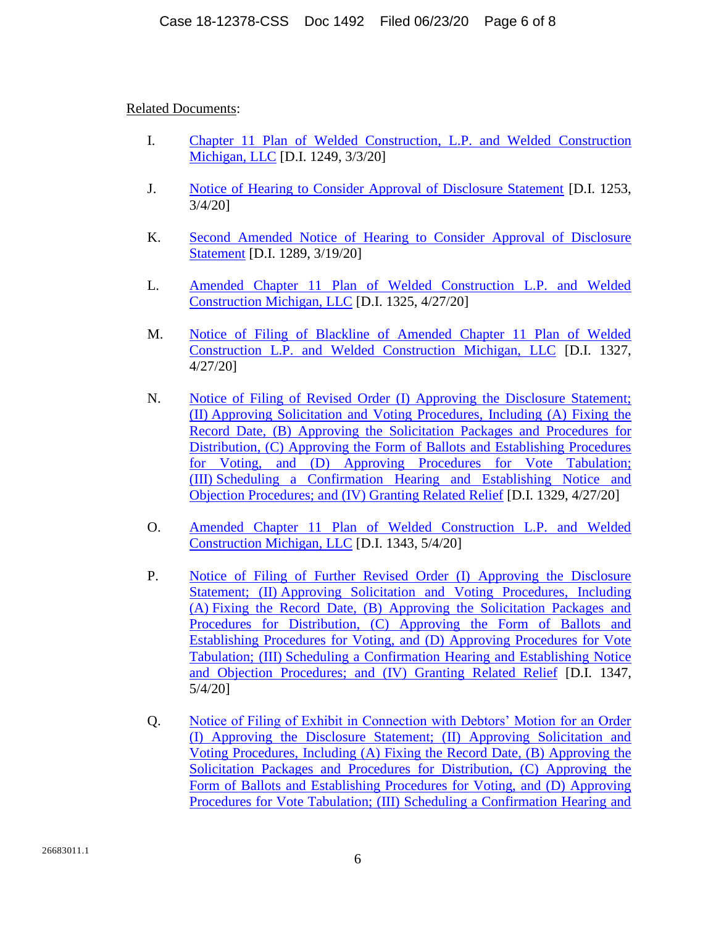- I. [Chapter 11 Plan of Welded Construction, L.P. and Welded Construction](https://ecf.deb.uscourts.gov/doc1/042018894257)  [Michigan, LLC](https://ecf.deb.uscourts.gov/doc1/042018894257) [D.I. 1249, 3/3/20]
- J. [Notice of Hearing to Consider Approval of Disclosure Statement](https://ecf.deb.uscourts.gov/doc1/042018896500) [D.I. 1253, 3/4/20]
- K. Second Amended Notice [of Hearing to Consider Approval of Disclosure](https://ecf.deb.uscourts.gov/doc1/042018927725)  [Statement](https://ecf.deb.uscourts.gov/doc1/042018927725) [D.I. 1289, 3/19/20]
- L. [Amended Chapter 11 Plan of Welded Construction L.P. and Welded](https://ecf.deb.uscourts.gov/doc1/042018998693)  Construction [Michigan, LLC](https://ecf.deb.uscourts.gov/doc1/042018998693) [D.I. 1325, 4/27/20]
- M. [Notice of Filing of Blackline of Amended Chapter 11 Plan of Welded](https://ecf.deb.uscourts.gov/doc1/042018998720)  [Construction L.P. and Welded Construction Michigan, LLC](https://ecf.deb.uscourts.gov/doc1/042018998720) [D.I. 1327, 4/27/20]
- N. [Notice of Filing of Revised Order \(I\) Approving](https://ecf.deb.uscourts.gov/doc1/042018998737) the Disclosure Statement; (II) [Approving Solicitation and Voting Procedures, Including \(A\) Fixing the](https://ecf.deb.uscourts.gov/doc1/042018998737)  [Record Date, \(B\) Approving the Solicitation Packages and Procedures for](https://ecf.deb.uscourts.gov/doc1/042018998737)  [Distribution, \(C\) Approving the Form of Ballots and Establishing Procedures](https://ecf.deb.uscourts.gov/doc1/042018998737)  [for Voting, and \(D\) Approving Procedures for Vote Tabulation;](https://ecf.deb.uscourts.gov/doc1/042018998737)  (III) [Scheduling a Confirmation Hearing and Establishing Notice and](https://ecf.deb.uscourts.gov/doc1/042018998737)  [Objection Procedures; and \(IV\) Granting Related Relief](https://ecf.deb.uscourts.gov/doc1/042018998737) [D.I. 1329, 4/27/20]
- O. [Amended Chapter 11 Plan of Welded Construction L.P. and Welded](https://ecf.deb.uscourts.gov/doc1/042019013817)  [Construction Michigan, LLC](https://ecf.deb.uscourts.gov/doc1/042019013817) [D.I. 1343, 5/4/20]
- P. [Notice of Filing of Further Revised Order \(I\) Approving the Disclosure](https://ecf.deb.uscourts.gov/doc1/042019013977)  Statement; (II) [Approving Solicitation and Voting Procedures, Including](https://ecf.deb.uscourts.gov/doc1/042019013977)  (A) [Fixing the Record Date, \(B\) Approving the Solicitation Packages and](https://ecf.deb.uscourts.gov/doc1/042019013977)  [Procedures for Distribution, \(C\) Approving the Form of Ballots and](https://ecf.deb.uscourts.gov/doc1/042019013977)  [Establishing Procedures for Voting, and \(D\) Approving Procedures for Vote](https://ecf.deb.uscourts.gov/doc1/042019013977)  Tabulation; (III) [Scheduling a Confirmation Hearing and Establishing Notice](https://ecf.deb.uscourts.gov/doc1/042019013977)  [and Objection Procedures; and \(IV\) Granting Related Relief](https://ecf.deb.uscourts.gov/doc1/042019013977) [D.I. 1347, 5/4/20]
- Q. [Notice of Filing of Exhibit in Connection with Debtors' Motion for an Order](https://ecf.deb.uscourts.gov/doc1/042019018952)  [\(I\) Approving the Disclosure Statement; \(II\) Approving Solicitation and](https://ecf.deb.uscourts.gov/doc1/042019018952)  [Voting Procedures, Including \(A\) Fixing the Record Date, \(B\) Approving the](https://ecf.deb.uscourts.gov/doc1/042019018952)  [Solicitation Packages and Procedures for Distribution, \(C\) Approving the](https://ecf.deb.uscourts.gov/doc1/042019018952)  [Form of Ballots and Establishing Procedures for Voting, and \(D\) Approving](https://ecf.deb.uscourts.gov/doc1/042019018952)  [Procedures for Vote Tabulation; \(III\) Scheduling a Confirmation Hearing and](https://ecf.deb.uscourts.gov/doc1/042019018952)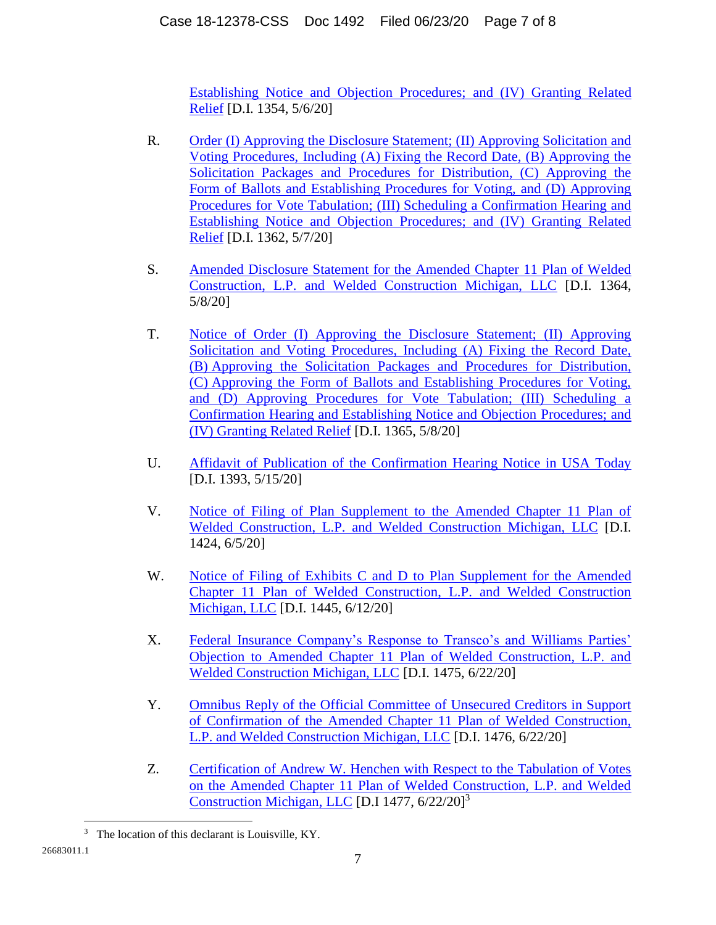[Establishing Notice and Objection Procedures; and \(IV\) Granting Related](https://ecf.deb.uscourts.gov/doc1/042019018952)  [Relief](https://ecf.deb.uscourts.gov/doc1/042019018952) [D.I. 1354, 5/6/20]

- R. [Order \(I\) Approving the Disclosure Statement; \(II\)](https://ecf.deb.uscourts.gov/doc1/042019022504) Approving Solicitation and Voting Procedures, Including (A) [Fixing the Record Date, \(B\) Approving the](https://ecf.deb.uscourts.gov/doc1/042019022504)  [Solicitation Packages and Procedures for Distribution, \(C\) Approving the](https://ecf.deb.uscourts.gov/doc1/042019022504)  [Form of Ballots and Establishing Procedures for Voting, and \(D\) Approving](https://ecf.deb.uscourts.gov/doc1/042019022504)  Procedures for Vote Tabulation; (III) [Scheduling a Confirmation Hearing and](https://ecf.deb.uscourts.gov/doc1/042019022504)  [Establishing Notice and Objection Procedures; and \(IV\) Granting Related](https://ecf.deb.uscourts.gov/doc1/042019022504)  [Relief](https://ecf.deb.uscourts.gov/doc1/042019022504) [D.I. 1362, 5/7/20]
- S. [Amended Disclosure Statement for the Amended Chapter 11 Plan of Welded](https://ecf.deb.uscourts.gov/doc1/042019025914)  [Construction, L.P. and Welded Construction Michigan, LLC](https://ecf.deb.uscourts.gov/doc1/042019025914) [D.I. 1364, 5/8/20]
- T. [Notice of Order \(I\) Approving the Disclosure Statement; \(II\) Approving](https://ecf.deb.uscourts.gov/doc1/042019025946)  [Solicitation and Voting Procedures, Including \(A\) Fixing the Record Date,](https://ecf.deb.uscourts.gov/doc1/042019025946)  (B) [Approving the Solicitation Packages and Procedures for Distribution,](https://ecf.deb.uscourts.gov/doc1/042019025946)  (C) [Approving the Form of Ballots and Establishing Procedures for Voting,](https://ecf.deb.uscourts.gov/doc1/042019025946)  [and \(D\) Approving Procedures for Vote Tabulation; \(III\) Scheduling a](https://ecf.deb.uscourts.gov/doc1/042019025946)  [Confirmation Hearing and Establishing Notice and Objection](https://ecf.deb.uscourts.gov/doc1/042019025946) Procedures; and [\(IV\) Granting Related Relief](https://ecf.deb.uscourts.gov/doc1/042019025946) [D.I. 1365, 5/8/20]
- U. [Affidavit of Publication of the Confirmation Hearing Notice in USA Today](https://ecf.deb.uscourts.gov/doc1/042019041552) [D.I. 1393, 5/15/20]
- V. [Notice of Filing of Plan Supplement to the Amended Chapter 11 Plan of](https://ecf.deb.uscourts.gov/doc1/042019092910)  [Welded Construction, L.P. and Welded Construction Michigan, LLC](https://ecf.deb.uscourts.gov/doc1/042019092910) [D.I. 1424, 6/5/20]
- W. Notice [of Filing of Exhibits C and D to Plan Supplement for](https://ecf.deb.uscourts.gov/doc1/042019108273) the Amended [Chapter 11 Plan of Welded Construction, L.P. and Welded Construction](https://ecf.deb.uscourts.gov/doc1/042019108273)  [Michigan, LLC](https://ecf.deb.uscourts.gov/doc1/042019108273) [D.I. 1445, 6/12/20]
- X. [Federal Insurance Company's Response to Transco's and Williams Parties'](https://ecf.deb.uscourts.gov/doc1/042019129666)  [Objection to Amended Chapter 11 Plan of Welded Construction, L.P. and](https://ecf.deb.uscourts.gov/doc1/042019129666)  [Welded Construction Michigan, LLC](https://ecf.deb.uscourts.gov/doc1/042019129666) [D.I. 1475, 6/22/20]
- Y. Omnibus Reply [of the Official Committee of Unsecured Creditors in Support](https://ecf.deb.uscourts.gov/doc1/042019129720)  [of Confirmation of the Amended Chapter 11 Plan of Welded Construction,](https://ecf.deb.uscourts.gov/doc1/042019129720)  [L.P. and Welded Construction Michigan, LLC](https://ecf.deb.uscourts.gov/doc1/042019129720) [D.I. 1476, 6/22/20]
- Z. [Certification of Andrew W. Henchen with Respect to the Tabulation of Votes](https://ecf.deb.uscourts.gov/doc1/042019131521)  [on the Amended Chapter 11 Plan of Welded Construction, L.P. and Welded](https://ecf.deb.uscourts.gov/doc1/042019131521)  [Construction Michigan, LLC](https://ecf.deb.uscourts.gov/doc1/042019131521) [D.I 1477, 6/22/20]<sup>3</sup>

 $\overline{a}$ 

<sup>3</sup> The location of this declarant is Louisville, KY.